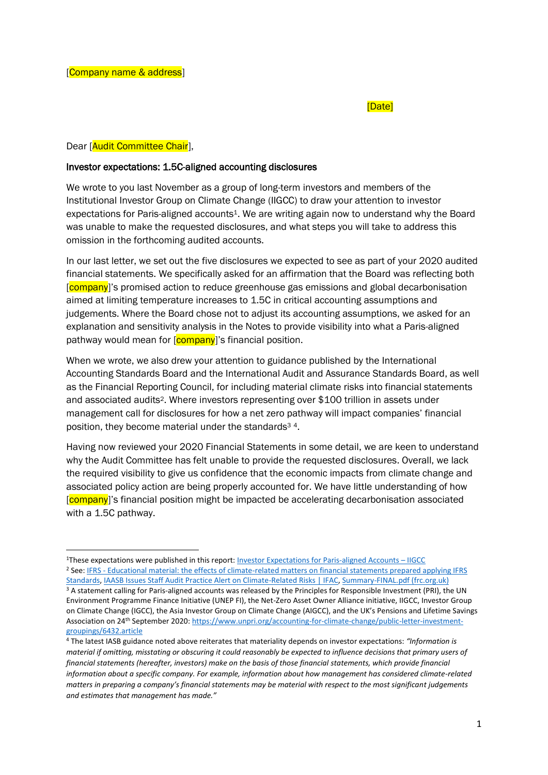## [Date]

## Dear [Audit Committee Chair],

## Investor expectations: 1.5C-aligned accounting disclosures

We wrote to you last November as a group of long-term investors and members of the Institutional Investor Group on Climate Change (IIGCC) to draw your attention to investor expectations for Paris-aligned accounts<sup>1</sup>. We are writing again now to understand why the Board was unable to make the requested disclosures, and what steps you will take to address this omission in the forthcoming audited accounts.

In our last letter, we set out the five disclosures we expected to see as part of your 2020 audited financial statements. We specifically asked for an affirmation that the Board was reflecting both [company]'s promised action to reduce greenhouse gas emissions and global decarbonisation aimed at limiting temperature increases to 1.5C in critical accounting assumptions and judgements. Where the Board chose not to adjust its accounting assumptions, we asked for an explanation and sensitivity analysis in the Notes to provide visibility into what a Paris-aligned pathway would mean for [company]'s financial position.

When we wrote, we also drew your attention to guidance published by the International Accounting Standards Board and the International Audit and Assurance Standards Board, as well as the Financial Reporting Council, for including material climate risks into financial statements and associated audits<sup>2</sup>. Where investors representing over \$100 trillion in assets under management call for disclosures for how a net zero pathway will impact companies' financial position, they become material under the standards<sup>34</sup>.

Having now reviewed your 2020 Financial Statements in some detail, we are keen to understand why the Audit Committee has felt unable to provide the requested disclosures. Overall, we lack the required visibility to give us confidence that the economic impacts from climate change and associated policy action are being properly accounted for. We have little understanding of how [company]'s financial position might be impacted be accelerating decarbonisation associated with a 1.5C pathway.

<sup>1</sup>These expectations were published in this report[: Investor Expectations for Paris-aligned Accounts](https://www.iigcc.org/resource/investor-expectations-for-paris-aligned-accounts/) – IIGCC <sup>2</sup> See: IFRS - [Educational material: the effects of climate-related matters on financial statements prepared applying IFRS](https://www.ifrs.org/news-and-events/news/2020/11/educational-material-on-the-effects-of-climate-related-matters/) 

[Standards,](https://www.ifrs.org/news-and-events/news/2020/11/educational-material-on-the-effects-of-climate-related-matters/) [IAASB Issues Staff Audit Practice Alert on Climate-Related Risks | IFAC,](https://www.iaasb.org/news-events/2020-10/iaasb-issues-staff-audit-practice-alert-climate-related-risks) [Summary-FINAL.pdf \(frc.org.uk\)](https://www.frc.org.uk/getattachment/ab63c220-6e2b-47e6-924e-8f369512e0a6/Summary-FINAL.pdf) <sup>3</sup> A statement calling for Paris-aligned accounts was released by the Principles for Responsible Investment (PRI), the UN Environment Programme Finance Initiative (UNEP FI), the Net-Zero Asset Owner Alliance initiative, IIGCC, Investor Group on Climate Change (IGCC), the Asia Investor Group on Climate Change (AIGCC), and the UK's Pensions and Lifetime Savings Association on 24<sup>th</sup> September 2020[: https://www.unpri.org/accounting-for-climate-change/public-letter-investment](https://www.unpri.org/accounting-for-climate-change/public-letter-investment-groupings/6432.article)[groupings/6432.article](https://www.unpri.org/accounting-for-climate-change/public-letter-investment-groupings/6432.article)

<sup>4</sup> The latest IASB guidance noted above reiterates that materiality depends on investor expectations: *"Information is material if omitting, misstating or obscuring it could reasonably be expected to influence decisions that primary users of financial statements (hereafter, investors) make on the basis of those financial statements, which provide financial information about a specific company. For example, information about how management has considered climate-related matters in preparing a company's financial statements may be material with respect to the most significant judgements and estimates that management has made."*